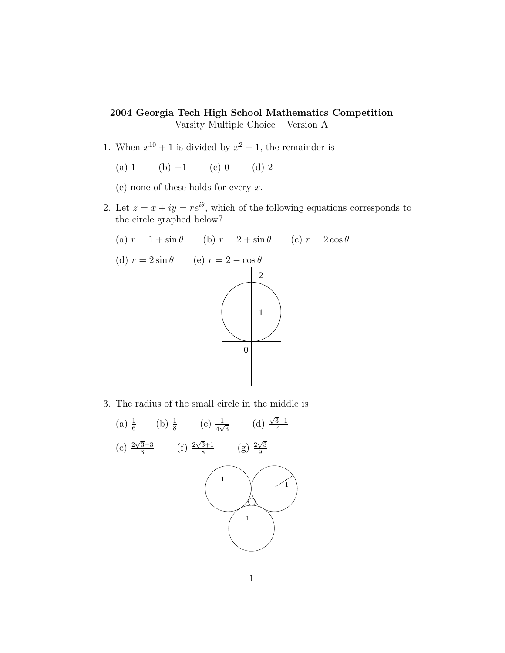## 2004 Georgia Tech High School Mathematics Competition Varsity Multiple Choice – Version A

- 1. When  $x^{10} + 1$  is divided by  $x^2 1$ , the remainder is
	- (a) 1 (b)  $-1$  (c) 0 (d) 2

(e) none of these holds for every  $x$ .

2. Let  $z = x + iy = re^{i\theta}$ , which of the following equations corresponds to the circle graphed below?



3. The radius of the small circle in the middle is

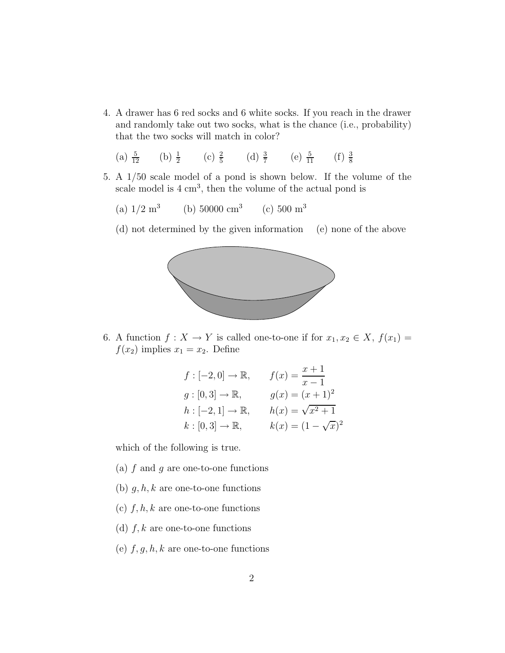- 4. A drawer has 6 red socks and 6 white socks. If you reach in the drawer and randomly take out two socks, what is the chance (i.e., probability) that the two socks will match in color?
	- (a)  $\frac{5}{12}$  (b)  $\frac{1}{2}$  (c)  $\frac{2}{5}$  (d)  $\frac{3}{7}$  (e)  $\frac{5}{11}$  (f)  $\frac{3}{8}$ 8
- 5. A 1/50 scale model of a pond is shown below. If the volume of the scale model is  $4 \text{ cm}^3$ , then the volume of the actual pond is
	- (a)  $1/2 \text{ m}^3$ (b)  $50000 \text{ cm}^3$  (c)  $500 \text{ m}^3$
	- (d) not determined by the given information (e) none of the above



6. A function  $f: X \to Y$  is called one-to-one if for  $x_1, x_2 \in X$ ,  $f(x_1) =$  $f(x_2)$  implies  $x_1 = x_2$ . Define

$$
f: [-2, 0] \to \mathbb{R}, \qquad f(x) = \frac{x+1}{x-1}
$$
  
\n
$$
g: [0, 3] \to \mathbb{R}, \qquad g(x) = (x+1)^2
$$
  
\n
$$
h: [-2, 1] \to \mathbb{R}, \qquad h(x) = \sqrt{x^2 + 1}
$$
  
\n
$$
k: [0, 3] \to \mathbb{R}, \qquad k(x) = (1 - \sqrt{x})^2
$$

which of the following is true.

- (a)  $f$  and  $g$  are one-to-one functions
- (b)  $g, h, k$  are one-to-one functions
- (c)  $f, h, k$  are one-to-one functions
- (d)  $f, k$  are one-to-one functions
- (e)  $f, g, h, k$  are one-to-one functions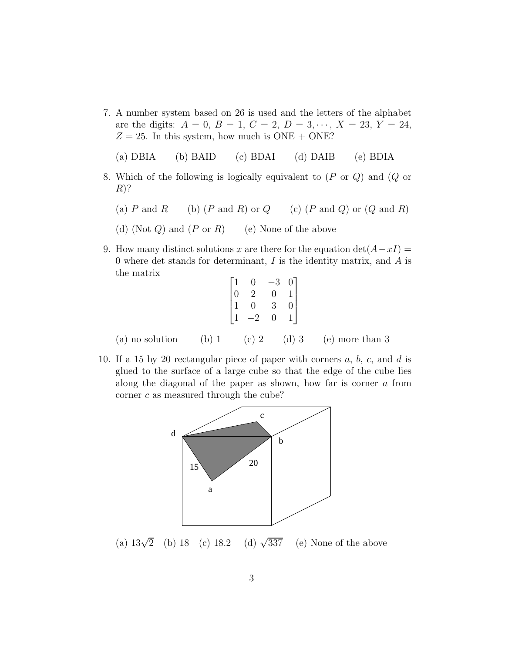7. A number system based on 26 is used and the letters of the alphabet are the digits:  $A = 0$ ,  $B = 1$ ,  $C = 2$ ,  $D = 3, \dots, X = 23, Y = 24$ ,  $Z = 25$ . In this system, how much is ONE + ONE?

(a) DBIA (b) BAID (c) BDAI (d) DAIB (e) BDIA

- 8. Which of the following is logically equivalent to (P or Q) and (Q or  $R$ ?
	- (a) P and R (b)  $(P \text{ and } R)$  or  $Q$  (c)  $(P \text{ and } Q)$  or  $(Q \text{ and } R)$
	- (d) (Not  $Q$ ) and  $(P \text{ or } R)$  (e) None of the above
- 9. How many distinct solutions x are there for the equation  $det(A-xI) =$ 0 where det stands for determinant,  $I$  is the identity matrix, and  $A$  is the matrix

| $\begin{bmatrix} 1 \\ 0 \end{bmatrix}$ | 0  | -3 | 0 <sup>1</sup>                              |  |
|----------------------------------------|----|----|---------------------------------------------|--|
|                                        | 2  | 0  | $\begin{bmatrix} 1 \\ 0 \\ 1 \end{bmatrix}$ |  |
| $\mathbf{1}$                           | 0  | 3  |                                             |  |
|                                        | -2 | 0  |                                             |  |

(a) no solution (b) 1 (c) 2 (d) 3 (e) more than 3

10. If a 15 by 20 rectangular piece of paper with corners  $a, b, c$ , and  $d$  is glued to the surface of a large cube so that the edge of the cube lies along the diagonal of the paper as shown, how far is corner a from corner c as measured through the cube?



(a)  $13\sqrt{2}$  (b) 18 (c) 18.2 (d)  $\sqrt{2}$ (d)  $\sqrt{337}$  (e) None of the above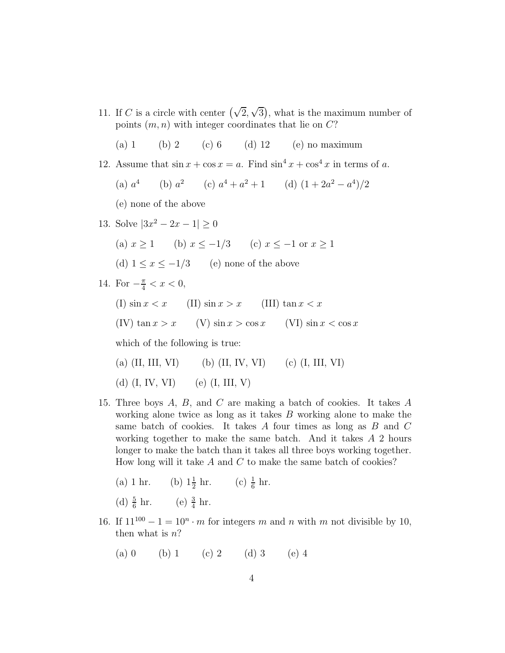- 11. If C is a circle with center  $(\sqrt{2}, \sqrt{3})$ , what is the maximum number of points  $(m, n)$  with integer coordinates that lie on  $C$ ?
	- (a) 1 (b) 2 (c) 6 (d) 12 (e) no maximum
- 12. Assume that  $\sin x + \cos x = a$ . Find  $\sin^4 x + \cos^4 x$  in terms of a.
	- $(a) a<sup>4</sup>$ (b)  $a^2$  (c)  $a^4 + a^2 + 1$  (d)  $(1 + 2a^2 - a^4)/2$
	- (e) none of the above
- 13. Solve  $|3x^2 2x 1| \ge 0$ 
	- (a)  $x \ge 1$  (b)  $x \le -1/3$  (c)  $x \le -1$  or  $x \ge 1$
	- (d)  $1 \leq x \leq -1/3$  (e) none of the above

14. For 
$$
-\frac{\pi}{4} < x < 0
$$
,

(I)  $\sin x < x$  (II)  $\sin x > x$  (III)  $\tan x < x$ 

(IV)  $\tan x > x$  (V)  $\sin x > \cos x$  (VI)  $\sin x < \cos x$ 

which of the following is true:

(a) (II, III, VI) (b) (II, IV, VI) (c) (I, III, VI)

(d)  $(I, IV, VI)$  (e)  $(I, III, V)$ 

15. Three boys A, B, and C are making a batch of cookies. It takes A working alone twice as long as it takes B working alone to make the same batch of cookies. It takes A four times as long as B and C working together to make the same batch. And it takes A 2 hours longer to make the batch than it takes all three boys working together. How long will it take  $A$  and  $C$  to make the same batch of cookies?

(a) 1 hr. (b) 
$$
1\frac{1}{2}
$$
 hr. (c)  $\frac{1}{6}$  hr.

(d) 
$$
\frac{5}{6}
$$
 hr. (e)  $\frac{3}{4}$  hr.

- 16. If  $11^{100} 1 = 10^n \cdot m$  for integers m and n with m not divisible by 10, then what is  $n$ ?
	- (a) 0 (b) 1 (c) 2 (d) 3 (e) 4